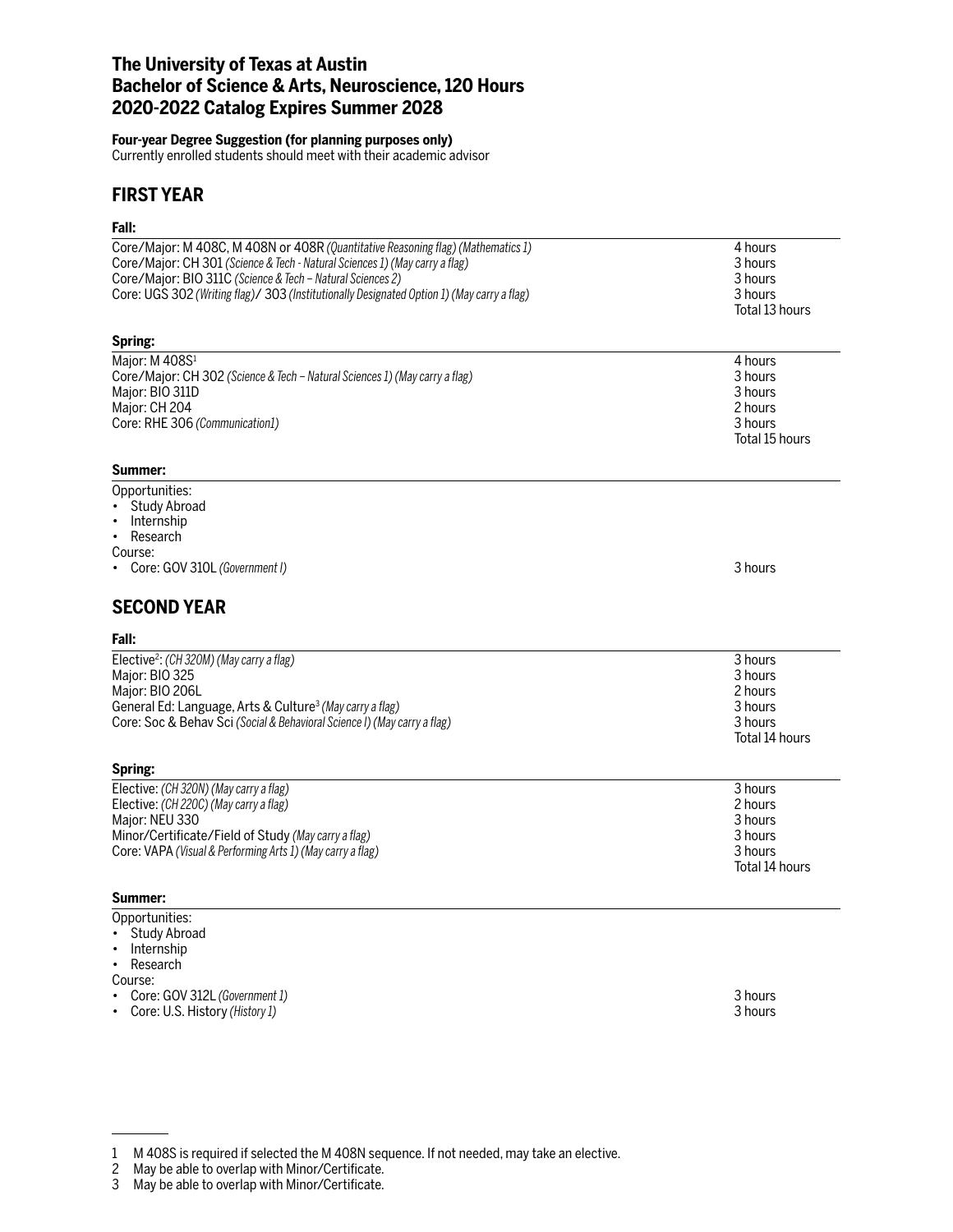### **The University of Texas at Austin Bachelor of Science & Arts, Neuroscience, 120 Hours 2020-2022 Catalog Expires Summer 2028**

#### **Four-year Degree Suggestion (for planning purposes only)**

Currently enrolled students should meet with their academic advisor

### **FIRST YEAR**

# **Fall:**

| rall:                                                                                                                                                                                                                                                                                                                       |                                                                       |
|-----------------------------------------------------------------------------------------------------------------------------------------------------------------------------------------------------------------------------------------------------------------------------------------------------------------------------|-----------------------------------------------------------------------|
| Core/Major: M 408C, M 408N or 408R (Quantitative Reasoning flag) (Mathematics 1)<br>Core/Major: CH 301 (Science & Tech - Natural Sciences 1) (May carry a flag)<br>Core/Major: BIO 311C (Science & Tech - Natural Sciences 2)<br>Core: UGS 302 (Writing flag)/ 303 (Institutionally Designated Option 1) (May carry a flag) | 4 hours<br>3 hours<br>3 hours<br>3 hours<br>Total 13 hours            |
| Spring:                                                                                                                                                                                                                                                                                                                     |                                                                       |
| Major: M 408S <sup>1</sup><br>Core/Major: CH 302 (Science & Tech - Natural Sciences 1) (May carry a flag)<br>Major: BIO 311D<br>Major: CH 204<br>Core: RHE 306 (Communication1)                                                                                                                                             | 4 hours<br>3 hours<br>3 hours<br>2 hours<br>3 hours<br>Total 15 hours |
| Summer:                                                                                                                                                                                                                                                                                                                     |                                                                       |
| Opportunities:<br>• Study Abroad<br>Internship<br>$\bullet$<br>• Research<br>Course:<br>• Core: GOV 310L (Government I)<br><b>SECOND YEAR</b><br>Fall:                                                                                                                                                                      | 3 hours                                                               |
| Elective <sup>2</sup> : (CH 320M) (May carry a flag)                                                                                                                                                                                                                                                                        | 3 hours                                                               |
| Major: BIO 325<br>Major: BIO 206L<br>General Ed: Language, Arts & Culture <sup>3</sup> (May carry a flag)<br>Core: Soc & Behav Sci (Social & Behavioral Science I) (May carry a flag)<br>Spring:                                                                                                                            | 3 hours<br>2 hours<br>3 hours<br>3 hours<br>Total 14 hours            |
| Elective: (CH 320N) (May carry a flag)                                                                                                                                                                                                                                                                                      | 3 hours                                                               |
| Elective: (CH 220C) (May carry a flag)<br>Major: NEU 330<br>Minor/Certificate/Field of Study (May carry a flag)<br>Core: VAPA (Visual & Performing Arts 1) (May carry a flag)                                                                                                                                               | 2 hours<br>3 hours<br>3 hours<br>3 hours<br>Total 14 hours            |
| Summer:                                                                                                                                                                                                                                                                                                                     |                                                                       |
| Opportunities:<br><b>Study Abroad</b><br>Internship<br>$\bullet$<br>Research<br>$\bullet$<br>Course:                                                                                                                                                                                                                        |                                                                       |

Course:

- Core: GOV 312L *(Government 1)* 3 hours
- Core: U.S. History (History 1)

<sup>1</sup> M 408S is required if selected the M 408N sequence. If not needed, may take an elective.

<sup>2</sup> May be able to overlap with Minor/Certificate.

<sup>3</sup> May be able to overlap with Minor/Certificate.